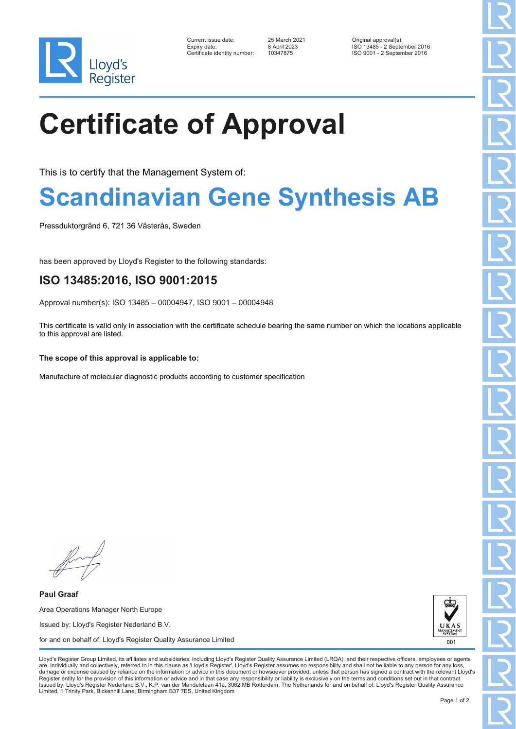

| Current issue date:         |
|-----------------------------|
| Expiry date:                |
| Certificate identity number |

Current issue date: 25 March 2021 Original approval(s): Expiry date: 8 April 2023 ISO 13485 - 2 September 2016 Certificate identity number: 10347875 ISO 9001 - 2 September 2016

# **Certificate of Approval**

This is to certify that the Management System of:

### **Scandinavian Gene Synthesis AB**

Pressduktorgränd 6, 721 36 Västerås, Sweden

has been approved by Lloyd's Register to the following standards:

### **ISO 13485:2016, ISO 9001:2015**

Approval number(s): ISO 13485 – 00004947, ISO 9001 – 00004948

This certificate is valid only in association with the certificate schedule bearing the same number on which the locations applicable to this approval are listed.

#### **The scope of this approval is applicable to:**

Manufacture of molecular diagnostic products according to customer specification

**Paul Graaf** Area Operations Manager North Europe Issued by: Lloyd's Register Nederland B.V. for and on behalf of: Lloyd's Register Quality Assurance Limited



Lloyd's Register Group Limited, its affiliates and subsidiaries, including Lloyd's Register Quality Assurance Limited (LRQA), and their respective officers, employees or agents are, individually and collectively, referred to in this clause as 'Lloyd's Register'. Lloyd's Register assumes no responsibility and shall not be liable to any person for any los damage or expense caused by reliance on the information or advice in this document or howsoever provided, unless that person has signed a contract with the relevant Lloyd's<br>Register entity for the provision of this informa Issued by: Lloyd's Register Nederland B.V., K.P. van der Mandelelaan 41a, 3062 MB Rotterdam, The Netherlands for and on behalf of: Lloyd's Register Quality Assurance Limited, 1 Trinity Park, Bickenhill Lane, Birmingham B37 7ES, United Kingdom